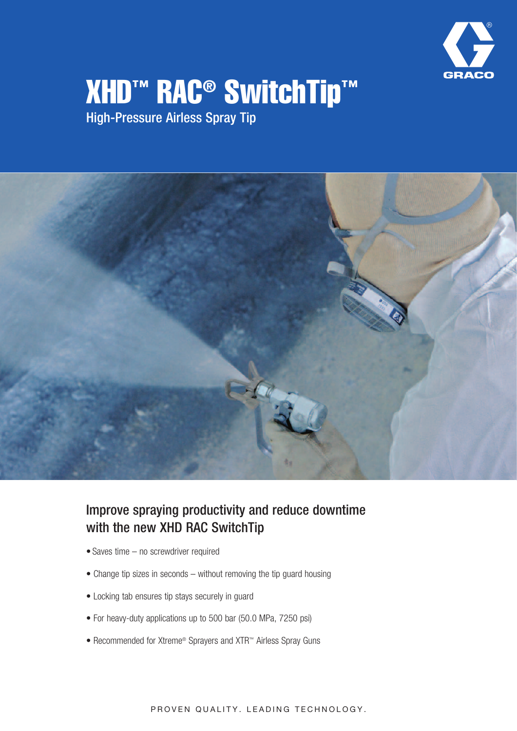

# **XHD™ RAC® SwitchTip™**

High-Pressure Airless Spray Tip



# Improve spraying productivity and reduce downtime with the new XHD RAC SwitchTip

- Saves time no screwdriver required
- Change tip sizes in seconds without removing the tip guard housing
- Locking tab ensures tip stays securely in guard
- For heavy-duty applications up to 500 bar (50.0 MPa, 7250 psi)
- Recommended for Xtreme® Sprayers and XTR™ Airless Spray Guns